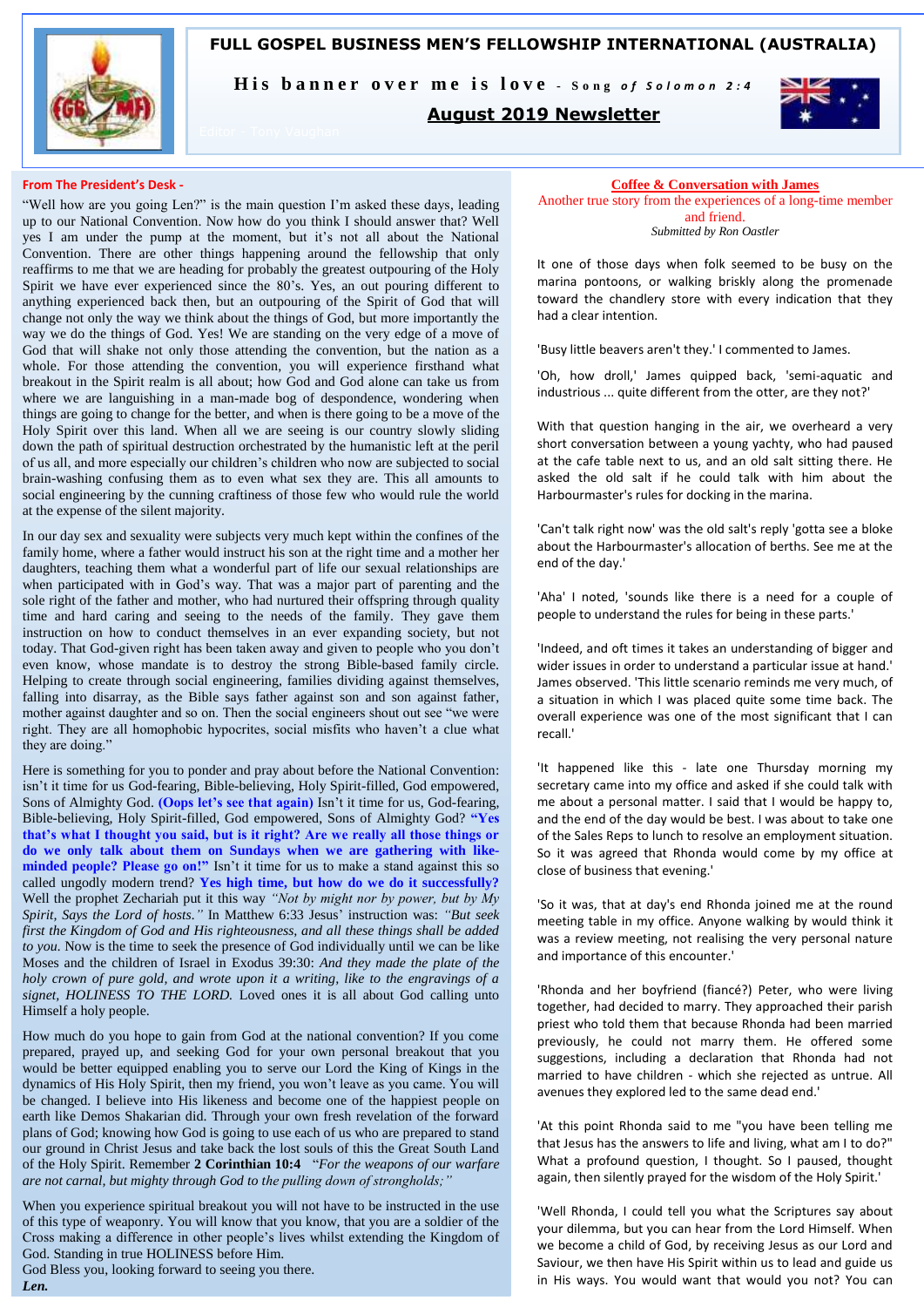

**FULL GOSPEL BUSINESS MEN'S FELLOWSHIP INTERNATIONAL (AUSTRALIA)**

His banner over me is love - Song of Solomon 2:4

### **August 2019 Newsletter**



#### **From The President's Desk -**

"Well how are you going Len?" is the main question I'm asked these days, leading up to our National Convention. Now how do you think I should answer that? Well yes I am under the pump at the moment, but it's not all about the National Convention. There are other things happening around the fellowship that only reaffirms to me that we are heading for probably the greatest outpouring of the Holy Spirit we have ever experienced since the 80's. Yes, an out pouring different to anything experienced back then, but an outpouring of the Spirit of God that will change not only the way we think about the things of God, but more importantly the way we do the things of God. Yes! We are standing on the very edge of a move of God that will shake not only those attending the convention, but the nation as a whole. For those attending the convention, you will experience firsthand what breakout in the Spirit realm is all about; how God and God alone can take us from where we are languishing in a man-made bog of despondence, wondering when things are going to change for the better, and when is there going to be a move of the Holy Spirit over this land. When all we are seeing is our country slowly sliding down the path of spiritual destruction orchestrated by the humanistic left at the peril of us all, and more especially our children's children who now are subjected to social brain-washing confusing them as to even what sex they are. This all amounts to social engineering by the cunning craftiness of those few who would rule the world at the expense of the silent majority.

In our day sex and sexuality were subjects very much kept within the confines of the family home, where a father would instruct his son at the right time and a mother her daughters, teaching them what a wonderful part of life our sexual relationships are when participated with in God's way. That was a major part of parenting and the sole right of the father and mother, who had nurtured their offspring through quality time and hard caring and seeing to the needs of the family. They gave them instruction on how to conduct themselves in an ever expanding society, but not today. That God-given right has been taken away and given to people who you don't even know, whose mandate is to destroy the strong Bible-based family circle. Helping to create through social engineering, families dividing against themselves, falling into disarray, as the Bible says father against son and son against father, mother against daughter and so on. Then the social engineers shout out see "we were right. They are all homophobic hypocrites, social misfits who haven't a clue what they are doing."

Here is something for you to ponder and pray about before the National Convention: isn't it time for us God-fearing, Bible-believing, Holy Spirit-filled, God empowered, Sons of Almighty God. **(Oops let's see that again)** Isn't it time for us, God-fearing, Bible-believing, Holy Spirit-filled, God empowered, Sons of Almighty God? **"Yes that's what I thought you said, but is it right? Are we really all those things or do we only talk about them on Sundays when we are gathering with likeminded people? Please go on!"** Isn't it time for us to make a stand against this so called ungodly modern trend? **Yes high time, but how do we do it successfully?**  Well the prophet Zechariah put it this way *"Not by might nor by power, but by My Spirit, Says the Lord of hosts."* In Matthew 6:33 Jesus' instruction was: *"But seek first the Kingdom of God and His righteousness, and all these things shall be added to you.* Now is the time to seek the presence of God individually until we can be like Moses and the children of Israel in Exodus 39:30: *And they made the plate of the holy crown of pure gold, and wrote upon it a writing, like to the engravings of a signet, HOLINESS TO THE LORD.* Loved ones it is all about God calling unto Himself a holy people.

How much do you hope to gain from God at the national convention? If you come prepared, prayed up, and seeking God for your own personal breakout that you would be better equipped enabling you to serve our Lord the King of Kings in the dynamics of His Holy Spirit, then my friend, you won't leave as you came. You will be changed. I believe into His likeness and become one of the happiest people on earth like Demos Shakarian did. Through your own fresh revelation of the forward plans of God; knowing how God is going to use each of us who are prepared to stand our ground in Christ Jesus and take back the lost souls of this the Great South Land of the Holy Spirit. Remember **2 Corinthian 10:4** "*For the weapons of our warfare are not carnal, but mighty through God to the pulling down of strongholds;"* 

When you experience spiritual breakout you will not have to be instructed in the use of this type of weaponry. You will know that you know, that you are a soldier of the Cross making a difference in other people's lives whilst extending the Kingdom of God. Standing in true HOLINESS before Him. God Bless you, looking forward to seeing you there.

*Len.* 

#### **Coffee & Conversation with James**

Another true story from the experiences of a long-time member and friend.

*Submitted by Ron Oastler*

It one of those days when folk seemed to be busy on the marina pontoons, or walking briskly along the promenade toward the chandlery store with every indication that they had a clear intention.

'Busy little beavers aren't they.' I commented to James.

'Oh, how droll,' James quipped back, 'semi-aquatic and industrious ... quite different from the otter, are they not?'

With that question hanging in the air, we overheard a very short conversation between a young yachty, who had paused at the cafe table next to us, and an old salt sitting there. He asked the old salt if he could talk with him about the Harbourmaster's rules for docking in the marina.

'Can't talk right now' was the old salt's reply 'gotta see a bloke about the Harbourmaster's allocation of berths. See me at the end of the day.'

'Aha' I noted, 'sounds like there is a need for a couple of people to understand the rules for being in these parts.'

'Indeed, and oft times it takes an understanding of bigger and wider issues in order to understand a particular issue at hand.' James observed. 'This little scenario reminds me very much, of a situation in which I was placed quite some time back. The overall experience was one of the most significant that I can recall.'

'It happened like this - late one Thursday morning my secretary came into my office and asked if she could talk with me about a personal matter. I said that I would be happy to, and the end of the day would be best. I was about to take one of the Sales Reps to lunch to resolve an employment situation. So it was agreed that Rhonda would come by my office at close of business that evening.'

'So it was, that at day's end Rhonda joined me at the round meeting table in my office. Anyone walking by would think it was a review meeting, not realising the very personal nature and importance of this encounter.'

'Rhonda and her boyfriend (fiancé?) Peter, who were living together, had decided to marry. They approached their parish priest who told them that because Rhonda had been married previously, he could not marry them. He offered some suggestions, including a declaration that Rhonda had not married to have children - which she rejected as untrue. All avenues they explored led to the same dead end.'

'At this point Rhonda said to me "you have been telling me that Jesus has the answers to life and living, what am I to do?" What a profound question, I thought. So I paused, thought again, then silently prayed for the wisdom of the Holy Spirit.'

'Well Rhonda, I could tell you what the Scriptures say about your dilemma, but you can hear from the Lord Himself. When we become a child of God, by receiving Jesus as our Lord and Saviour, we then have His Spirit within us to lead and guide us in His ways. You would want that would you not? You can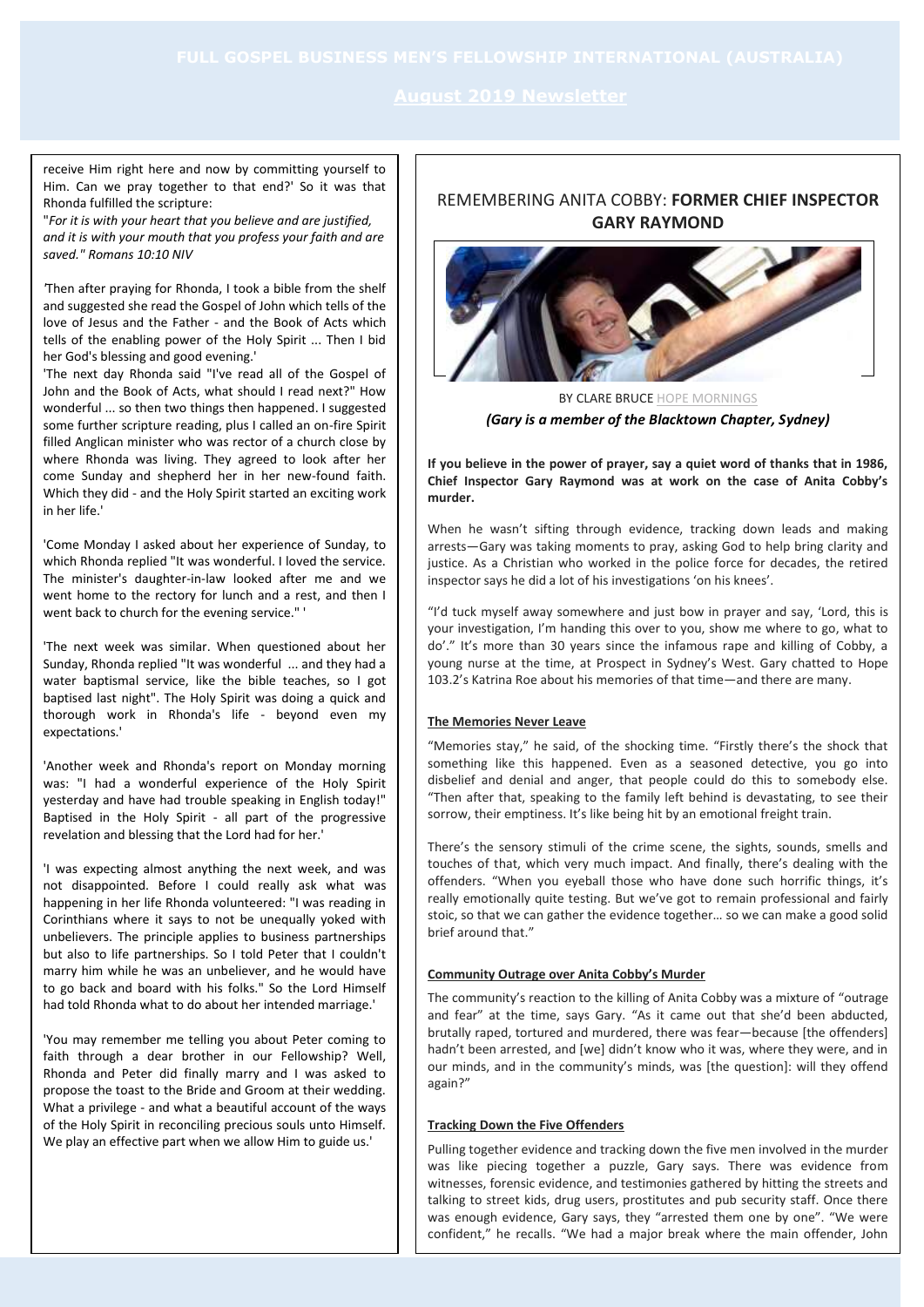receive Him right here and now by committing yourself to Him. Can we pray together to that end?' So it was that Rhonda fulfilled the scripture:

"*For it is with your heart that you believe and are justified, and it is with your mouth that you profess your faith and are saved." Romans 10:10 NIV*

*'*Then after praying for Rhonda, I took a bible from the shelf and suggested she read the Gospel of John which tells of the love of Jesus and the Father - and the Book of Acts which tells of the enabling power of the Holy Spirit ... Then I bid her God's blessing and good evening.'

'The next day Rhonda said "I've read all of the Gospel of John and the Book of Acts, what should I read next?" How wonderful ... so then two things then happened. I suggested some further scripture reading, plus I called an on-fire Spirit filled Anglican minister who was rector of a church close by where Rhonda was living. They agreed to look after her come Sunday and shepherd her in her new-found faith. Which they did - and the Holy Spirit started an exciting work in her life.'

'Come Monday I asked about her experience of Sunday, to which Rhonda replied "It was wonderful. I loved the service. The minister's daughter-in-law looked after me and we went home to the rectory for lunch and a rest, and then I went back to church for the evening service." '

'The next week was similar. When questioned about her Sunday, Rhonda replied "It was wonderful ... and they had a water baptismal service, like the bible teaches, so I got baptised last night". The Holy Spirit was doing a quick and thorough work in Rhonda's life - beyond even my expectations.'

'Another week and Rhonda's report on Monday morning was: "I had a wonderful experience of the Holy Spirit yesterday and have had trouble speaking in English today!" Baptised in the Holy Spirit - all part of the progressive revelation and blessing that the Lord had for her.'

'I was expecting almost anything the next week, and was not disappointed. Before I could really ask what was happening in her life Rhonda volunteered: "I was reading in Corinthians where it says to not be unequally yoked with unbelievers. The principle applies to business partnerships but also to life partnerships. So I told Peter that I couldn't marry him while he was an unbeliever, and he would have to go back and board with his folks." So the Lord Himself had told Rhonda what to do about her intended marriage.'

'You may remember me telling you about Peter coming to faith through a dear brother in our Fellowship? Well, Rhonda and Peter did finally marry and I was asked to propose the toast to the Bride and Groom at their wedding. What a privilege - and what a beautiful account of the ways of the Holy Spirit in reconciling precious souls unto Himself. We play an effective part when we allow Him to guide us.'

## REMEMBERING ANITA COBBY: **FORMER CHIEF INSPECTOR GARY RAYMOND**



BY CLARE BRUC[E HOPE MORNINGS](https://hope1032.com.au/show/hope-mornings/) *(Gary is a member of the Blacktown Chapter, Sydney)*

**If you believe in the power of prayer, say a quiet word of thanks that in 1986, Chief Inspector Gary Raymond was at work on the case of Anita Cobby's murder.**

When he wasn't sifting through evidence, tracking down leads and making arrests—Gary was taking moments to pray, asking God to help bring clarity and justice. As a Christian who worked in the police force for decades, the retired inspector says he did a lot of his investigations 'on his knees'.

"I'd tuck myself away somewhere and just bow in prayer and say, 'Lord, this is your investigation, I'm handing this over to you, show me where to go, what to do'." It's more than 30 years since the infamous rape and killing of Cobby, a young nurse at the time, at Prospect in Sydney's West. Gary chatted to Hope 103.2's Katrina Roe about his memories of that time—and there are many.

#### **The Memories Never Leave**

"Memories stay," he said, of the shocking time. "Firstly there's the shock that something like this happened. Even as a seasoned detective, you go into disbelief and denial and anger, that people could do this to somebody else. "Then after that, speaking to the family left behind is devastating, to see their sorrow, their emptiness. It's like being hit by an emotional freight train.

There's the sensory stimuli of the crime scene, the sights, sounds, smells and touches of that, which very much impact. And finally, there's dealing with the offenders. "When you eyeball those who have done such horrific things, it's really emotionally quite testing. But we've got to remain professional and fairly stoic, so that we can gather the evidence together… so we can make a good solid brief around that."

#### **Community Outrage over Anita Cobby's Murder**

The community's reaction to the killing of Anita Cobby was a mixture of "outrage and fear" at the time, says Gary. "As it came out that she'd been abducted, brutally raped, tortured and murdered, there was fear—because [the offenders] hadn't been arrested, and [we] didn't know who it was, where they were, and in our minds, and in the community's minds, was [the question]: will they offend again?"

#### **Tracking Down the Five Offenders**

Pulling together evidence and tracking down the five men involved in the murder was like piecing together a puzzle, Gary says. There was evidence from witnesses, forensic evidence, and testimonies gathered by hitting the streets and talking to street kids, drug users, prostitutes and pub security staff. Once there was enough evidence, Gary says, they "arrested them one by one". "We were confident," he recalls. "We had a major break where the main offender, John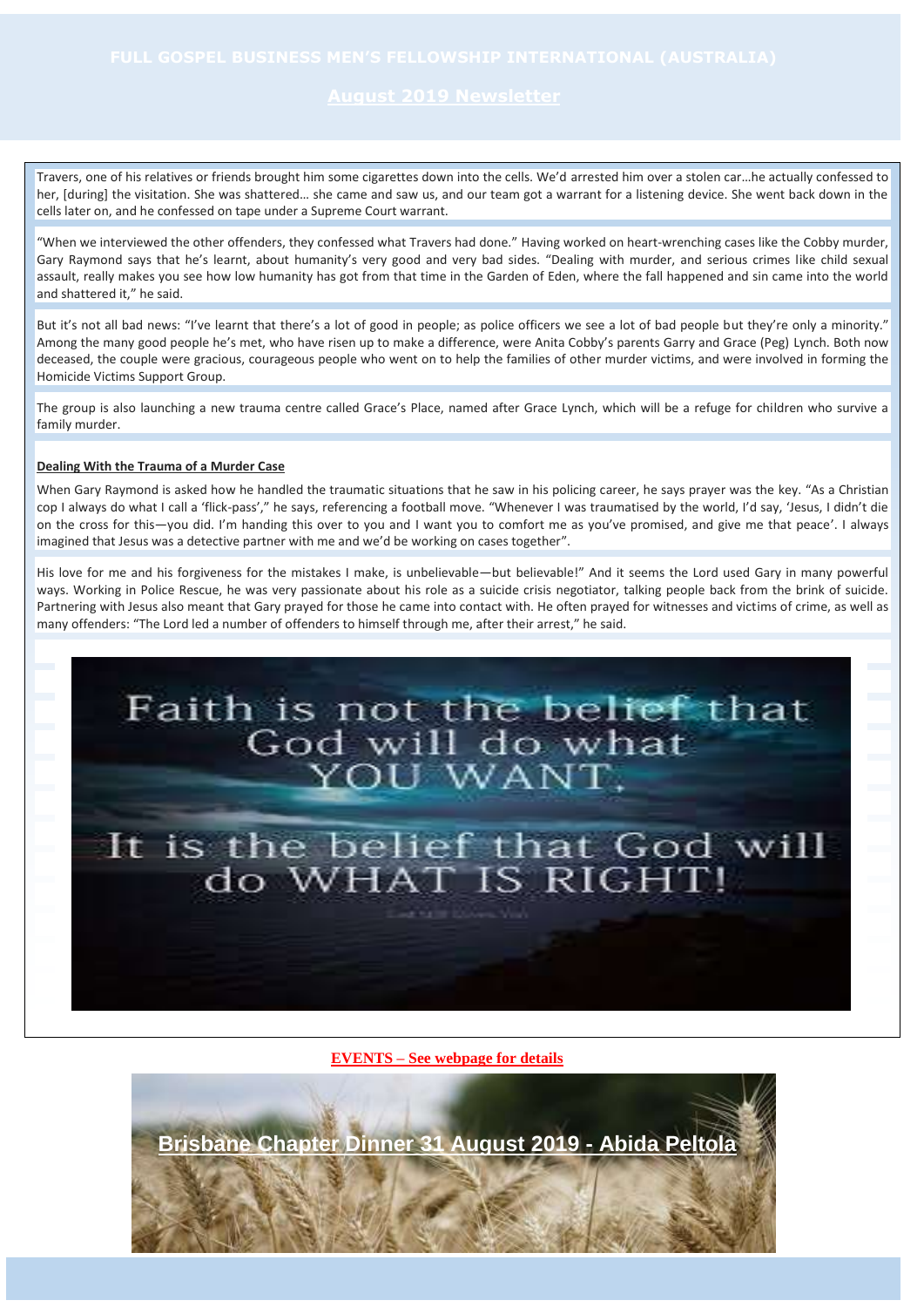Travers, one of his relatives or friends brought him some cigarettes down into the cells. We'd arrested him over a stolen car…he actually confessed to her, [during] the visitation. She was shattered… she came and saw us, and our team got a warrant for a listening device. She went back down in the cells later on, and he confessed on tape under a Supreme Court warrant.

"When we interviewed the other offenders, they confessed what Travers had done." Having worked on heart-wrenching cases like the Cobby murder, Gary Raymond says that he's learnt, about humanity's very good and very bad sides. "Dealing with murder, and serious crimes like child sexual assault, really makes you see how low humanity has got from that time in the Garden of Eden, where the fall happened and sin came into the world and shattered it," he said.

But it's not all bad news: "I've learnt that there's a lot of good in people; as police officers we see a lot of bad people but they're only a minority." Among the many good people he's met, who have risen up to make a difference, were Anita Cobby's parents Garry and Grace (Peg) Lynch. Both now deceased, the couple were gracious, courageous people who went on to help the families of other murder victims, and were involved in forming the Homicide Victims Support Group.

The group is also launching a new trauma centre called Grace's Place, named after Grace Lynch, which will be a refuge for children who survive a family murder.

#### **Dealing With the Trauma of a Murder Case**

When Gary Raymond is asked how he handled the traumatic situations that he saw in his policing career, he says prayer was the key. "As a Christian cop I always do what I call a 'flick-pass'," he says, referencing a football move. "Whenever I was traumatised by the world, I'd say, 'Jesus, I didn't die on the cross for this—you did. I'm handing this over to you and I want you to comfort me as you've promised, and give me that peace'. I always imagined that Jesus was a detective partner with me and we'd be working on cases together".

His love for me and his forgiveness for the mistakes I make, is unbelievable—but believable!" And it seems the Lord used Gary in many powerful ways. Working in Police Rescue, he was very passionate about his role as a suicide crisis negotiator, talking people back from the brink of suicide. Partnering with Jesus also meant that Gary prayed for those he came into contact with. He often prayed for witnesses and victims of crime, as well as many offenders: "The Lord led a number of offenders to himself through me, after their arrest," he said.



**EVENTS – See webpage for details**